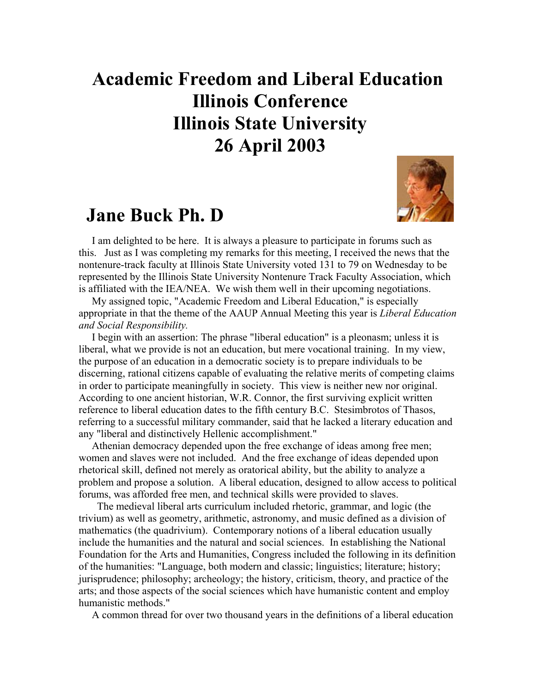## **Academic Freedom and Liberal Education Illinois Conference Illinois State University 26 April 2003**

## **Jane Buck Ph. D**



 I am delighted to be here. It is always a pleasure to participate in forums such as this. Just as I was completing my remarks for this meeting, I received the news that the nontenure-track faculty at Illinois State University voted 131 to 79 on Wednesday to be represented by the Illinois State University Nontenure Track Faculty Association, which is affiliated with the IEA/NEA. We wish them well in their upcoming negotiations.

 My assigned topic, "Academic Freedom and Liberal Education," is especially appropriate in that the theme of the AAUP Annual Meeting this year is *Liberal Education and Social Responsibility.*

 I begin with an assertion: The phrase "liberal education" is a pleonasm; unless it is liberal, what we provide is not an education, but mere vocational training. In my view, the purpose of an education in a democratic society is to prepare individuals to be discerning, rational citizens capable of evaluating the relative merits of competing claims in order to participate meaningfully in society. This view is neither new nor original. According to one ancient historian, W.R. Connor, the first surviving explicit written reference to liberal education dates to the fifth century B.C. Stesimbrotos of Thasos, referring to a successful military commander, said that he lacked a literary education and any "liberal and distinctively Hellenic accomplishment."

 Athenian democracy depended upon the free exchange of ideas among free men; women and slaves were not included. And the free exchange of ideas depended upon rhetorical skill, defined not merely as oratorical ability, but the ability to analyze a problem and propose a solution. A liberal education, designed to allow access to political forums, was afforded free men, and technical skills were provided to slaves.

 The medieval liberal arts curriculum included rhetoric, grammar, and logic (the trivium) as well as geometry, arithmetic, astronomy, and music defined as a division of mathematics (the quadrivium). Contemporary notions of a liberal education usually include the humanities and the natural and social sciences. In establishing the National Foundation for the Arts and Humanities, Congress included the following in its definition of the humanities: "Language, both modern and classic; linguistics; literature; history; jurisprudence; philosophy; archeology; the history, criticism, theory, and practice of the arts; and those aspects of the social sciences which have humanistic content and employ humanistic methods."

A common thread for over two thousand years in the definitions of a liberal education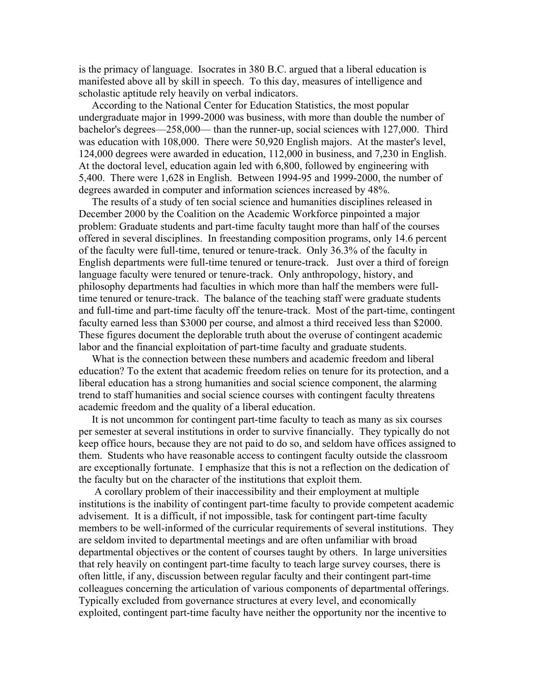is the primacy of language. Isocrates in 380 B.C. argued that a liberal education is manifested above all by skill in speech. To this day, measures of intelligence and scholastic aptitude rely heavily on verbal indicators.

 According to the National Center for Education Statistics, the most popular undergraduate major in 1999-2000 was business, with more than double the number of bachelor's degrees—258,000— than the runner-up, social sciences with 127,000. Third was education with 108,000. There were 50,920 English majors. At the master's level, 124,000 degrees were awarded in education, 112,000 in business, and 7,230 in English. At the doctoral level, education again led with 6,800, followed by engineering with 5,400. There were 1,628 in English. Between 1994-95 and 1999-2000, the number of degrees awarded in computer and information sciences increased by 48%.

 The results of a study of ten social science and humanities disciplines released in December 2000 by the Coalition on the Academic Workforce pinpointed a major problem: Graduate students and part-time faculty taught more than half of the courses offered in several disciplines. In freestanding composition programs, only 14.6 percent of the faculty were full-time, tenured or tenure-track. Only 36.3% of the faculty in English departments were full-time tenured or tenure-track. Just over a third of foreign language faculty were tenured or tenure-track. Only anthropology, history, and philosophy departments had faculties in which more than half the members were fulltime tenured or tenure-track. The balance of the teaching staff were graduate students and full-time and part-time faculty off the tenure-track. Most of the part-time, contingent faculty earned less than \$3000 per course, and almost a third received less than \$2000. These figures document the deplorable truth about the overuse of contingent academic labor and the financial exploitation of part-time faculty and graduate students.

 What is the connection between these numbers and academic freedom and liberal education? To the extent that academic freedom relies on tenure for its protection, and a liberal education has a strong humanities and social science component, the alarming trend to staff humanities and social science courses with contingent faculty threatens academic freedom and the quality of a liberal education.

 It is not uncommon for contingent part-time faculty to teach as many as six courses per semester at several institutions in order to survive financially. They typically do not keep office hours, because they are not paid to do so, and seldom have offices assigned to them. Students who have reasonable access to contingent faculty outside the classroom are exceptionally fortunate. I emphasize that this is not a reflection on the dedication of the faculty but on the character of the institutions that exploit them.

 A corollary problem of their inaccessibility and their employment at multiple institutions is the inability of contingent part-time faculty to provide competent academic advisement. It is a difficult, if not impossible, task for contingent part-time faculty members to be well-informed of the curricular requirements of several institutions. They are seldom invited to departmental meetings and are often unfamiliar with broad departmental objectives or the content of courses taught by others. In large universities that rely heavily on contingent part-time faculty to teach large survey courses, there is often little, if any, discussion between regular faculty and their contingent part-time colleagues concerning the articulation of various components of departmental offerings. Typically excluded from governance structures at every level, and economically exploited, contingent part-time faculty have neither the opportunity nor the incentive to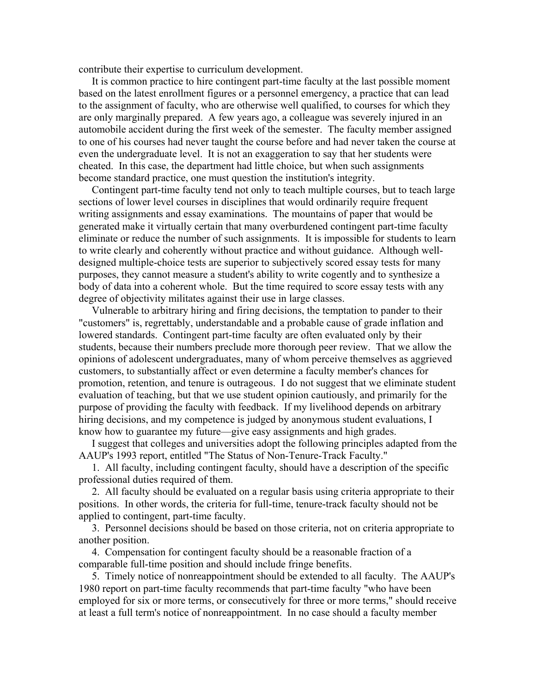contribute their expertise to curriculum development.

 It is common practice to hire contingent part-time faculty at the last possible moment based on the latest enrollment figures or a personnel emergency, a practice that can lead to the assignment of faculty, who are otherwise well qualified, to courses for which they are only marginally prepared. A few years ago, a colleague was severely injured in an automobile accident during the first week of the semester. The faculty member assigned to one of his courses had never taught the course before and had never taken the course at even the undergraduate level. It is not an exaggeration to say that her students were cheated. In this case, the department had little choice, but when such assignments become standard practice, one must question the institution's integrity.

 Contingent part-time faculty tend not only to teach multiple courses, but to teach large sections of lower level courses in disciplines that would ordinarily require frequent writing assignments and essay examinations. The mountains of paper that would be generated make it virtually certain that many overburdened contingent part-time faculty eliminate or reduce the number of such assignments. It is impossible for students to learn to write clearly and coherently without practice and without guidance. Although welldesigned multiple-choice tests are superior to subjectively scored essay tests for many purposes, they cannot measure a student's ability to write cogently and to synthesize a body of data into a coherent whole. But the time required to score essay tests with any degree of objectivity militates against their use in large classes.

 Vulnerable to arbitrary hiring and firing decisions, the temptation to pander to their "customers" is, regrettably, understandable and a probable cause of grade inflation and lowered standards. Contingent part-time faculty are often evaluated only by their students, because their numbers preclude more thorough peer review. That we allow the opinions of adolescent undergraduates, many of whom perceive themselves as aggrieved customers, to substantially affect or even determine a faculty member's chances for promotion, retention, and tenure is outrageous. I do not suggest that we eliminate student evaluation of teaching, but that we use student opinion cautiously, and primarily for the purpose of providing the faculty with feedback. If my livelihood depends on arbitrary hiring decisions, and my competence is judged by anonymous student evaluations, I know how to guarantee my future—give easy assignments and high grades.

 I suggest that colleges and universities adopt the following principles adapted from the AAUP's 1993 report, entitled "The Status of Non-Tenure-Track Faculty."

 1. All faculty, including contingent faculty, should have a description of the specific professional duties required of them.

 2. All faculty should be evaluated on a regular basis using criteria appropriate to their positions. In other words, the criteria for full-time, tenure-track faculty should not be applied to contingent, part-time faculty.

 3. Personnel decisions should be based on those criteria, not on criteria appropriate to another position.

 4. Compensation for contingent faculty should be a reasonable fraction of a comparable full-time position and should include fringe benefits.

 5. Timely notice of nonreappointment should be extended to all faculty. The AAUP's 1980 report on part-time faculty recommends that part-time faculty "who have been employed for six or more terms, or consecutively for three or more terms," should receive at least a full term's notice of nonreappointment. In no case should a faculty member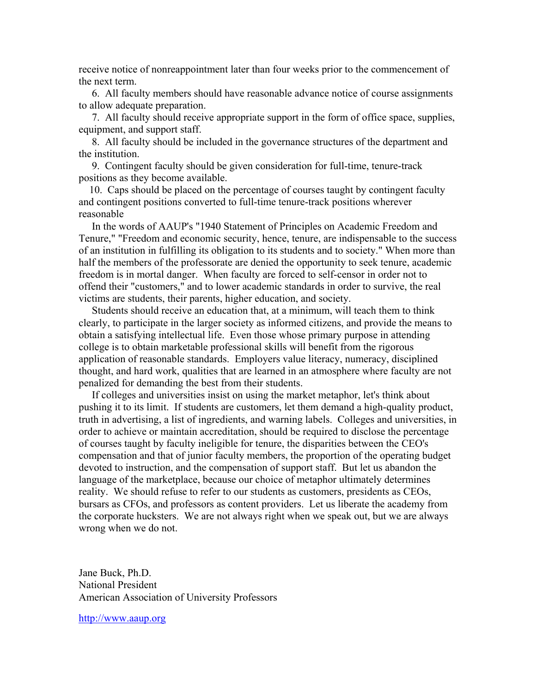receive notice of nonreappointment later than four weeks prior to the commencement of the next term.

 6. All faculty members should have reasonable advance notice of course assignments to allow adequate preparation.

 7. All faculty should receive appropriate support in the form of office space, supplies, equipment, and support staff.

 8. All faculty should be included in the governance structures of the department and the institution.

 9. Contingent faculty should be given consideration for full-time, tenure-track positions as they become available.

 10. Caps should be placed on the percentage of courses taught by contingent faculty and contingent positions converted to full-time tenure-track positions wherever reasonable

 In the words of AAUP's "1940 Statement of Principles on Academic Freedom and Tenure," "Freedom and economic security, hence, tenure, are indispensable to the success of an institution in fulfilling its obligation to its students and to society." When more than half the members of the professorate are denied the opportunity to seek tenure, academic freedom is in mortal danger. When faculty are forced to self-censor in order not to offend their "customers," and to lower academic standards in order to survive, the real victims are students, their parents, higher education, and society.

 Students should receive an education that, at a minimum, will teach them to think clearly, to participate in the larger society as informed citizens, and provide the means to obtain a satisfying intellectual life. Even those whose primary purpose in attending college is to obtain marketable professional skills will benefit from the rigorous application of reasonable standards. Employers value literacy, numeracy, disciplined thought, and hard work, qualities that are learned in an atmosphere where faculty are not penalized for demanding the best from their students.

 If colleges and universities insist on using the market metaphor, let's think about pushing it to its limit. If students are customers, let them demand a high-quality product, truth in advertising, a list of ingredients, and warning labels. Colleges and universities, in order to achieve or maintain accreditation, should be required to disclose the percentage of courses taught by faculty ineligible for tenure, the disparities between the CEO's compensation and that of junior faculty members, the proportion of the operating budget devoted to instruction, and the compensation of support staff. But let us abandon the language of the marketplace, because our choice of metaphor ultimately determines reality. We should refuse to refer to our students as customers, presidents as CEOs, bursars as CFOs, and professors as content providers. Let us liberate the academy from the corporate hucksters. We are not always right when we speak out, but we are always wrong when we do not.

Jane Buck, Ph.D. National President American Association of University Professors

[http://www.aaup.org](http://www.aaup.org/)